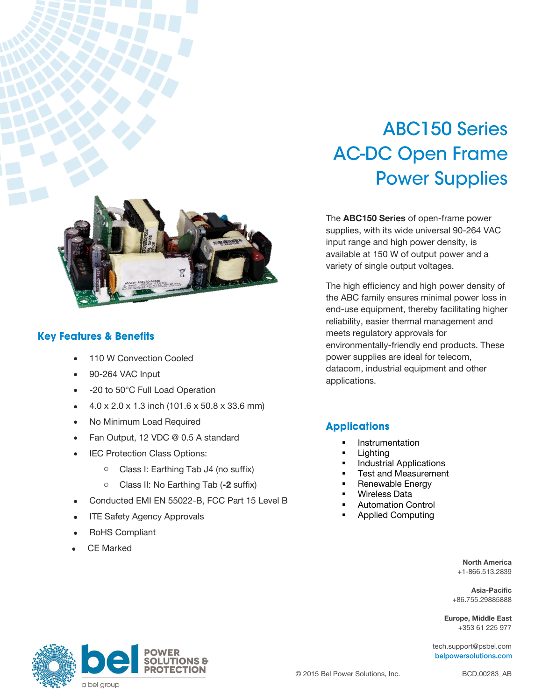

#### **Key Features & Benefits**

- 110 W Convection Cooled
- 90-264 VAC Input
- -20 to 50°C Full Load Operation
- 4.0 x 2.0 x 1.3 inch (101.6 x 50.8 x 33.6 mm)
- No Minimum Load Required
- Fan Output, 12 VDC @ 0.5 A standard
- IEC Protection Class Options:
	- o Class I: Earthing Tab J4 (no suffix)
	- o Class II: No Earthing Tab (**-2** suffix)
- Conducted EMI EN 55022-B, FCC Part 15 Level B
- ITE Safety Agency Approvals
- RoHS Compliant
- CE Marked

# **ABC150 Series AC-DC Open Frame Power Supplies**

The **ABC150 Series** of open-frame power supplies, with its wide universal 90-264 VAC input range and high power density, is available at 150 W of output power and a variety of single output voltages.

The high efficiency and high power density of the ABC family ensures minimal power loss in end-use equipment, thereby facilitating higher reliability, easier thermal management and meets regulatory approvals for environmentally-friendly end products. These power supplies are ideal for telecom, datacom, industrial equipment and other applications.

#### **Applications**

- Instrumentation
- **Lighting**
- Industrial Applications
- Test and Measurement
- Renewable Energy
- Wireless Data
- Automation Control
- Applied Computing

**North America** +1-866.513.2839

**Asia-Pacific** +86.755.29885888

**Europe, Middle East** +353 61 225 977

[tech.support@psbel.com](mailto:tech.support@psbel.com) belpowersolutions.com

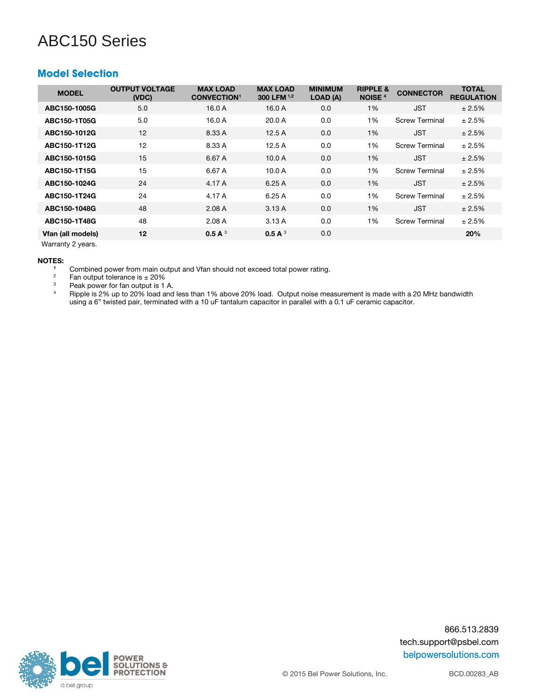#### **Model Selection**

| <b>MODEL</b>      | <b>OUTPUT VOLTAGE</b><br>(VDC) | <b>MAX LOAD</b><br><b>CONVECTION1</b> | <b>MAX LOAD</b><br>300 LFM 1,2 | <b>MINIMUM</b><br>LOAD (A) | <b>RIPPLE &amp;</b><br><b>NOISE</b> <sup>4</sup> | <b>CONNECTOR</b>      | <b>TOTAL</b><br><b>REGULATION</b> |
|-------------------|--------------------------------|---------------------------------------|--------------------------------|----------------------------|--------------------------------------------------|-----------------------|-----------------------------------|
| ABC150-1005G      | 5.0                            | 16.0A                                 | 16.0A                          | 0.0                        | 1%                                               | <b>JST</b>            | ± 2.5%                            |
| ABC150-1T05G      | 5.0                            | 16.0A                                 | 20.0A                          | 0.0                        | 1%                                               | <b>Screw Terminal</b> | ± 2.5%                            |
| ABC150-1012G      | 12                             | 8.33 A                                | 12.5A                          | 0.0                        | 1%                                               | <b>JST</b>            | ± 2.5%                            |
| ABC150-1T12G      | 12                             | 8.33 A                                | 12.5A                          | 0.0                        | 1%                                               | <b>Screw Terminal</b> | ± 2.5%                            |
| ABC150-1015G      | 15                             | 6.67 A                                | 10.0 A                         | 0.0                        | 1%                                               | <b>JST</b>            | ± 2.5%                            |
| ABC150-1T15G      | 15                             | 6.67 A                                | 10.0 A                         | 0.0                        | 1%                                               | <b>Screw Terminal</b> | ± 2.5%                            |
| ABC150-1024G      | 24                             | 4.17 A                                | 6.25A                          | 0.0                        | 1%                                               | <b>JST</b>            | ± 2.5%                            |
| ABC150-1T24G      | 24                             | 4.17 A                                | 6.25A                          | 0.0                        | 1%                                               | <b>Screw Terminal</b> | ± 2.5%                            |
| ABC150-1048G      | 48                             | 2.08A                                 | 3.13A                          | 0.0                        | 1%                                               | <b>JST</b>            | ± 2.5%                            |
| ABC150-1T48G      | 48                             | 2.08A                                 | 3.13A                          | 0.0                        | 1%                                               | <b>Screw Terminal</b> | ± 2.5%                            |
| Vfan (all models) | 12                             | 0.5 A $3$                             | 0.5 A $3$                      | 0.0                        |                                                  |                       | 20%                               |
|                   |                                |                                       |                                |                            |                                                  |                       |                                   |

Warranty 2 years.

### **NOTES:**

<sup>1</sup> Combined power from main output and Vfan should not exceed total power rating.<br><sup>2</sup> Ean output tolerance is + 20%

<sup>2</sup> Fan output tolerance is  $\pm 20\%$ <br><sup>3</sup> Peak nower for fan output is 1

 $3$  Peak power for fan output is 1 A.

<sup>4</sup> Ripple is 2% up to 20% load and less than 1% above 20% load. Output noise measurement is made with a 20 MHz bandwidth using a 6" twisted pair, terminated with a 10 uF tantalum capacitor in parallel with a 0.1 uF ceramic capacitor.



866.513.2839 tech.support@psbel.com belpowersolutions.com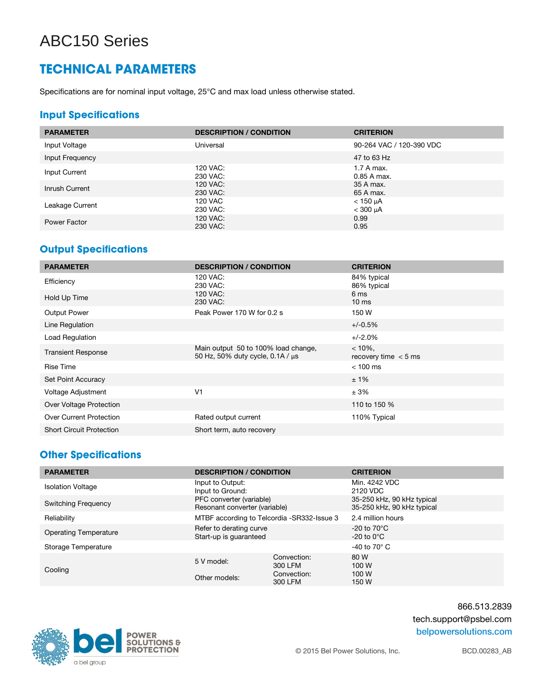### **TECHNICAL PARAMETERS**

Specifications are for nominal input voltage, 25°C and max load unless otherwise stated.

#### **Input Specifications**

| <b>PARAMETER</b> | <b>DESCRIPTION / CONDITION</b> | <b>CRITERION</b>                   |
|------------------|--------------------------------|------------------------------------|
| Input Voltage    | Universal                      | 90-264 VAC / 120-390 VDC           |
| Input Frequency  |                                | 47 to 63 Hz                        |
| Input Current    | 120 VAC:<br>230 VAC:           | 1.7 A max.<br>0.85 A max.          |
| Inrush Current   | 120 VAC:<br>230 VAC:           | 35 A max.<br>65 A max.             |
| Leakage Current  | 120 VAC<br>230 VAC:            | $<$ 150 $\mu$ A<br>$<$ 300 $\mu$ A |
| Power Factor     | 120 VAC:<br>230 VAC:           | 0.99<br>0.95                       |

#### **Output Specifications**

| <b>PARAMETER</b>                | <b>DESCRIPTION / CONDITION</b>                                               | <b>CRITERION</b>                     |
|---------------------------------|------------------------------------------------------------------------------|--------------------------------------|
| Efficiency                      | 120 VAC:<br>230 VAC:                                                         | 84% typical<br>86% typical           |
| Hold Up Time                    | 120 VAC:<br>230 VAC:                                                         | 6 <sub>ms</sub><br>$10 \text{ ms}$   |
| <b>Output Power</b>             | Peak Power 170 W for 0.2 s                                                   | 150 W                                |
| Line Regulation                 |                                                                              | $+/-0.5%$                            |
| Load Regulation                 |                                                                              | $+/-2.0%$                            |
| <b>Transient Response</b>       | Main output 50 to 100% load change,<br>50 Hz, 50% duty cycle, 0.1A / $\mu$ s | $< 10\%$ .<br>recovery time $<$ 5 ms |
| <b>Rise Time</b>                |                                                                              | $< 100$ ms                           |
| Set Point Accuracy              |                                                                              | ±1%                                  |
| Voltage Adjustment              | V <sub>1</sub>                                                               | ± 3%                                 |
| Over Voltage Protection         |                                                                              | 110 to 150 %                         |
| <b>Over Current Protection</b>  | Rated output current                                                         | 110% Typical                         |
| <b>Short Circuit Protection</b> | Short term, auto recovery                                                    |                                      |

#### **Other Specifications**

| <b>PARAMETER</b>             | <b>DESCRIPTION / CONDITION</b>                            |                        | <b>CRITERION</b>                                         |
|------------------------------|-----------------------------------------------------------|------------------------|----------------------------------------------------------|
| <b>Isolation Voltage</b>     | Input to Output:<br>Input to Ground:                      |                        | Min. 4242 VDC<br>2120 VDC                                |
| <b>Switching Frequency</b>   | PFC converter (variable)<br>Resonant converter (variable) |                        | 35-250 kHz, 90 kHz typical<br>35-250 kHz, 90 kHz typical |
| Reliability                  | MTBF according to Telcordia -SR332-Issue 3                |                        | 2.4 million hours                                        |
| <b>Operating Temperature</b> | Refer to derating curve<br>Start-up is quaranteed         |                        | $-20$ to $70^{\circ}$ C<br>$-20$ to $0^{\circ}$ C        |
| Storage Temperature          |                                                           |                        | -40 to 70 $^{\circ}$ C                                   |
| Cooling                      | 5 V model:                                                | Convection:<br>300 LFM | 80 W<br>100 W                                            |
|                              | Other models:                                             | Convection:<br>300 LFM | 100 W<br>150 W                                           |



866.513.2839 tech.support@psbel.com belpowersolutions.com

© 2015 Bel Power Solutions, Inc.

BCD.00283\_AB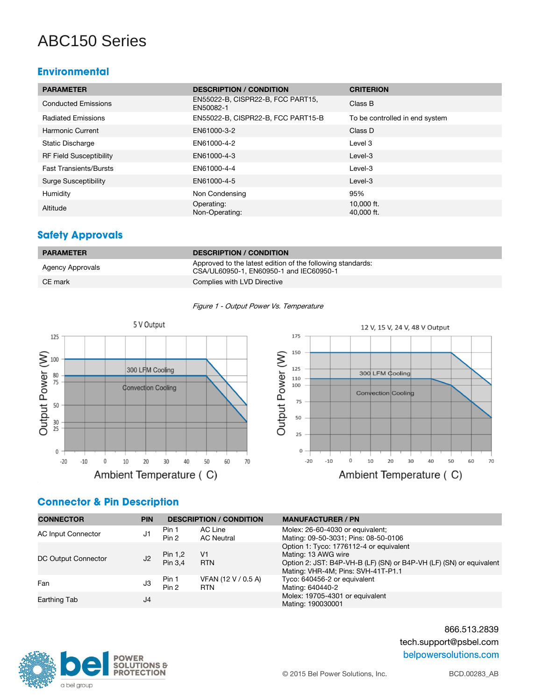#### **Environmental**

| <b>PARAMETER</b>               | <b>DESCRIPTION / CONDITION</b>                 | <b>CRITERION</b>               |
|--------------------------------|------------------------------------------------|--------------------------------|
| <b>Conducted Emissions</b>     | EN55022-B, CISPR22-B, FCC PART15,<br>EN50082-1 | Class B                        |
| <b>Radiated Emissions</b>      | EN55022-B, CISPR22-B, FCC PART15-B             | To be controlled in end system |
| Harmonic Current               | EN61000-3-2                                    | Class D                        |
| <b>Static Discharge</b>        | EN61000-4-2                                    | Level 3                        |
| <b>RF Field Susceptibility</b> | EN61000-4-3                                    | Level-3                        |
| <b>Fast Transients/Bursts</b>  | EN61000-4-4                                    | Level-3                        |
| <b>Surge Susceptibility</b>    | EN61000-4-5                                    | Level-3                        |
| Humidity                       | Non Condensing                                 | 95%                            |
| Altitude                       | Operating:<br>Non-Operating:                   | 10,000 ft.<br>$40,000$ ft.     |

#### **Safety Approvals**

| <b>PARAMETER</b> | <b>DESCRIPTION / CONDITION</b>                                                                        |
|------------------|-------------------------------------------------------------------------------------------------------|
| Agency Approvals | Approved to the latest edition of the following standards:<br>CSA/UL60950-1, EN60950-1 and IEC60950-1 |
| CE mark          | Complies with LVD Directive                                                                           |







#### **Connector & Pin Description**

| <b>CONNECTOR</b>          | <b>PIN</b>     |                    | <b>DESCRIPTION / CONDITION</b>    | <b>MANUFACTURER / PN</b>                                                                                                                                                    |
|---------------------------|----------------|--------------------|-----------------------------------|-----------------------------------------------------------------------------------------------------------------------------------------------------------------------------|
| <b>AC Input Connector</b> | J1             | Pin 1<br>Pin 2     | AC Line<br><b>AC Neutral</b>      | Molex: 26-60-4030 or equivalent;<br>Mating: 09-50-3031; Pins: 08-50-0106                                                                                                    |
| DC Output Connector       | J <sub>2</sub> | Pin 1,2<br>Pin 3.4 | V1<br><b>RTN</b>                  | Option 1: Tyco: 1776112-4 or equivalent<br>Mating: 13 AWG wire<br>Option 2: JST: B4P-VH-B (LF) (SN) or B4P-VH (LF) (SN) or equivalent<br>Mating: VHR-4M; Pins: SVH-41T-P1.1 |
| Fan                       | J3             | Pin 1<br>Pin 2     | VFAN (12 V / 0.5 A)<br><b>RTN</b> | Tyco: 640456-2 or equivalent<br>Mating: 640440-2                                                                                                                            |
| Earthing Tab              | J4             |                    |                                   | Molex: 19705-4301 or equivalent<br>Mating: 190030001                                                                                                                        |